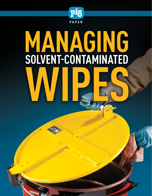

# **MANAGING SOLVENT-CONTAMINATED** WIPES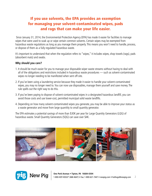# If you use solvents, the EPA provides an exemption for managing your solvent-contaminated wipes, pads and rags that can make your life easier.

 Since January 31, 2014, the Environmental Protection Agency (EPA) has made it easier for facilities to manage wipes that were used to soak up or wipe certain common solvents. Certain wipes may be exempted from hazardous waste regulations as long as you manage them properly. This means you won't need to handle, process, or dispose of them as a fully regulated hazardous waste.

It's important to understand that when the regulation refers to "wipes," it includes wipes, shop towels (rags), pads (absorbent mats) and swabs.

### **Why should you care?**

- 1. It should be much easier for you to manage your disposable wiper waste streams without having to deal with all of the obligations and restrictions included in hazardous waste procedures — such as solvent-contaminated wipes no longer needing to be manifested when sent off-site.
- 2. If you've been using a laundering service because they made it easier to handle your solvent-contaminated wipes, you may no longer need to. You can now use disposables, manage them yourself and save money. The rule spells out the right way to do this.
- 3. If you've been paying to dispose of solvent-contaminated wipes in a designated hazardous landfill, you can avoid those costs and use lower-cost, permitted municipal solid waste landfills.
- 4. Depending on how many solvent-contaminated wipes you generate, you may be able to improve your status as a waste generator and move from large quanitity to small quantity generator.

The EPA estimates a potential savings of more than \$30K per year for Large Quantity Generators (LQG) of hazardous waste. Small Quantity Generators (SQG) can save over \$4K.



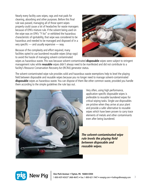Nearly every facility uses wipes, rags and mat pads for cleaning, absorbing and other purposes. Before this final rule was passed, managing all of those spent wipes properly could cause a lot of headaches for waste managers because of EPA's mixture rule. If the solvent being used on the wipe was on EPA's "F list" or exhibited the hazardous characteristic of ignitability, that wipe was considered to be hazardous and needed to be managed and disposed of in a very specific — and usually expensive — way.

Because of the complexity and effort required, many facilities opted to use laundered reusable wipes (shop rags) to avoid the hassle of managing solvent-contaminated



wipes as hazardous waste. This was because solvent-contaminated **disposable** wipes were subject to stringent management rules while **reusable** wipes didn't always need to be manifested and did not contribute to a facility's Resource Conservation Recovery Act (RCRA) generator status.

The solvent-contaminated wipe rule provides solid and hazardous waste exemptions help to level the playing field between disposable and reusable wipes because you no longer need to manage solvent-contaminated **disposable** wipes as hazardous waste. You can dispose of them like other common waste, provided you handle them according to the simple guidelines the rule lays out.



Very often, using high performance, application-specific disposable wipes is preferable to reusable laundered wipes for critical wiping tasks. Single-use disposables are pristine when they arrive at your plant and provide a safer alternative to reusable wipes which have been proven to carry trace elements of metals and other contaminants even after being laundered.

**The solvent-contaminated wipe rule levels the playing field between disposable and reusable wipes.**

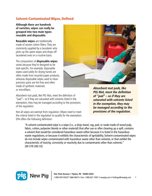# Solvent-Contaminated Wipes, Defined

**Although there are hundreds of varieties, wipes can really be grouped into two main types: reusable and disposable.**

**Reusable wipes** are traditionally made of woven cotton fibers. They are commonly supplied by a launderer who picks up the spent wipes and drops off laundered ones on a routine basis.

The composition of **disposable wipes** varies because they're designed to be task-specific. For example, disposable wipes used solely for drying hands are often made from recycled paper products, whereas disposable wipes used to clean precision parts are lint-free and often made of synthetic materials or microfibers.



Absorbent mat pads, like PIG Mat, meet the definition of "pad"– so if they are saturated with solvents listed in the exemption, they may be managed according to the provisions of the regulation.

Not all wipes are exempt from regulation. Wipes need to meet the criteria listed in the regulation to qualify for the exemption. EPA offers the following definition:

**Absorbent mat pads, like PIG Mat, meet the definition of "pad" – so if they are saturated with solvents listed in the exemption, they may be managed according to the provisions of the regulation.** 

"A solvent-contaminated wipe is a wipe (i.e., a shop towel, rag, pad, or swab made of wood pulp, fabric, cotton, polyester blends or other material) that after use or after cleaning up a spill, contains a solvent that would be considered hazardous waste either because it is listed in the hazardous waste regulations, or because it exhibits the characteristic of ignitability. Solvent-contaminated wipes do not include wipes contaminated with hazardous waste other than solvents, or that exhibit the characteristic of toxicity, corrosivity or reactivity due to contaminants other than solvents." [40 CFR 260.10]

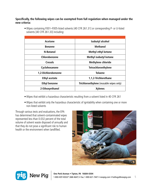### **Specifically, the following wipes can be exempted from full regulation when managed under the new criteria:**

| Acetone              | <b>Isobutyl alcohol</b>                 |
|----------------------|-----------------------------------------|
| <b>Benzene</b>       | <b>Methanol</b>                         |
| <b>N-Butanol</b>     | Methyl ethyl ketone                     |
| Chlorobenzene        | <b>Methyl isobutyl ketone</b>           |
| <b>Cresols</b>       | <b>Methylene chloride</b>               |
| Cyclohexanone        | <b>Tetrachloroethylene</b>              |
| 1,2-Dichlorobenzene  | <b>Toluene</b>                          |
| <b>Ethyl acetate</b> | 1,1,2-Trichlorethane                    |
| <b>Ethyl benzene</b> | Trichloroethylene (reusable wipes only) |
| 2-Ethoxyethanol      | <b>Xylenes</b>                          |

• Wipes containing F001–F005-listed solvents [40 CFR 261.31] or corresponding P- or U-listed solvents [40 CFR 261.33] including:

- Wipes that exhibit a hazardous characteristic resulting from a solvent listed in 40 CFR 261
- Wipes that exhibit only the hazardous characteristic of ignitability when containing one or more non-listed solvents

Through various tests and evaluations, the EPA has determined that solvent-contaminated wipes represented less than 0.032 percent of the total volume of solvent waste disposed of annually and that they do not pose a significant risk to human health or the environment when landfilled.



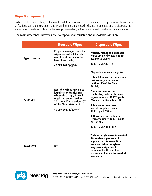### Wipe Management

To be eligible for exemption, both reusable and disposable wipes must be managed properly while they are onsite at facilities, during transportation, and when they are laundered, dry cleaned, incinerated or land disposed. The management practices outlined in the exemption are designed to minimize health and environmental impact.

|                      | <b>Reusable Wipes</b>                                                                                                                                                                                | <b>Disposable Wipes</b>                                                                                                                                                                                                                                                                                                                                                                                                                            |
|----------------------|------------------------------------------------------------------------------------------------------------------------------------------------------------------------------------------------------|----------------------------------------------------------------------------------------------------------------------------------------------------------------------------------------------------------------------------------------------------------------------------------------------------------------------------------------------------------------------------------------------------------------------------------------------------|
| <b>Type of Waste</b> | <b>Properly managed reusable</b><br>wipes are not solid waste<br>(and therefore, cannot be<br>hazardous waste).<br>40 CFR 261.4(a)(26)                                                               | <b>Properly managed disposable</b><br>wipes are solid waste but not<br>hazardous waste.<br>40 CFR 261.4(b)(18)                                                                                                                                                                                                                                                                                                                                     |
| <b>After Use</b>     | Reusable wipes may go to<br>laundries or dry cleaners<br>whose discharge, if any, is<br>regulated under Sections<br>301 and 402 or Section 307<br>of the Clean Water Act.<br>40 CFR 261.4(a)(26)(vi) | Disposable wipes may go to:<br>1. Municipal waste combustors<br>that are regulated under<br>section 129 of the Clean<br>Air Act:<br>2. A hazardous waste<br>combustor, boiler or furnace<br>regulated under 40 CFR parts<br>264, 265, or 266 subpart H;<br>3. Municipal solid waste<br>landfills regulated under<br>40 CFR part 258; or<br>4. Hazardous waste landfills<br>regulated under 40 CFR parts<br>264 or 265.<br>40 CFR 261.4 (b)(18)(vi) |
| <b>Exceptions</b>    | N/A                                                                                                                                                                                                  | Trichloroethylene-contaminated<br>disposable wipes are not<br>eligible for this exemption<br>because trichloroethylene<br>may pose a significant risk<br>to human health and the<br>environment when disposed of<br>in a landfill.                                                                                                                                                                                                                 |

### **The main differences between the exemptions for reusable and disposable wipes are:**

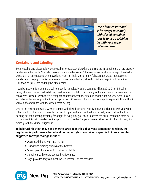

**One of the easiest and safest ways to comply with closed container regs is to use a latching lid with your wipe collection drum.**

# Containers and Labeling

Both reusable and disposable wipes must be stored, accumulated and transported in containers that are properly labeled with the words "Excluded Solvent-Contaminated Wipes." The containers must also be kept closed when wipes are not being added or removed and must not leak. Similar to EPA's hazardous waste management standards, managing solvent-contaminated wipes in non-leaking, closed containers helps to minimize the likelihood of spills, fires and fugitive air emissions.

It can be inconvenient or impractical to properly (completely) seal a container (like a 20-, 30-, or 55-gallon drum) after each wipe is added during used wipe accumulation. According to the final rule, a container can be considered "closed" when there is complete contact between the fitted lid and the rim. An unsecured lid can easily be jostled out of position in a busy plant, and it's common for workers to forget to replace it. That will put you out of compliance with the closed container reg.

One of the easiest and safest ways to comply with closed container regs is to use a latching lid with your wipe collection drum. Latching lids enable the user to open and re-close the drum securely in seconds rather than backing out the bolt/ring assembly for a tight fit every time you need to access the drum. When the container is full or when it is being readied for transport, it must then be "properly" sealed. When sealing for shipment, it is typically with the drum's original lid.

**To help facilities that may not generate large quantities of solvent-contaminated wipes, the regulation is performance-based and no single style of container is specified. Some examples suggested for wipe storage include:** 

- Open-head drums with latching lids
- Drums with draining screens at the bottom
- Other types of open-head containers with lids
- Containers with covers opened by a foot pedal
- Bags, provided they can meet the requirements of the standard

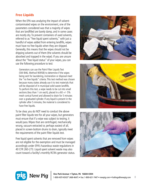# Free Liquids

When the EPA was analyzing the impact of solventcontaminated wipes on the environment, one of the parameters considered was that a majority of wipes that are landfilled are barely damp, and in some cases are mostly dry. To prevent containers of used solvents, referred to as "free liquid spent solvents," with just a handful of wipes added from entering landfills, wipes must have no free liquids when they are shipped. Generally, this means that the wipes should not be dripping solvents out of them (the solvents should be absorbed and trapped in the wipe). If you are unsure about the "free liquid status" of your wipes, you can use the following procedure to test:

 Generators can use the Paint Filter Liquids Test (SW-846, Method 9095B) to determine if the wipes being sent for laundering, incineration or disposal meet the "no free liquids" criteria. This test method was chosen because many states already use it to test materials that will be disposed of in municipal solid waste landfills. To perform this test, a wipe needs to be cut into small sections (less than 1 cm each), placed in a 60  $+/-5\%$ mesh conical funnel and allowed to drain for 5 minutes over a graduated cylinder. If any liquid is present in the cylinder after 5 minutes, the material is considered to have free liquids.

To be clear, you do NOT need to conduct the above paint filter liquids test for all your wipes, but generators must ensure that if a wipe was subject to testing, it would pass. Wipes that are centrifuged, mechanically wrung, vacuum extracted or, perhaps easiest of all, placed in screen-bottom drums to drain, typically meet the requirements of the paint filter liquids test.

Free liquid spent solvents that are removed from wipes are not eligible for the exemption and must be managed accordingly under EPA's hazardous waste regulations in 40 CFR 260-273. Liquid spent solvent waste may also count toward a facility's monthly RCRA generator status.







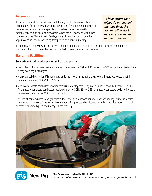# Accumulation Time

To prevent wipes from being stored indefinitely onsite, they may only be accumulated for up to 180 days before being sent for laundering or disposal. Because reusable wipes are typically provided with a regular weekly or monthly service, and because disposable wipes can be managed with other solid wastes, the EPA felt that 180 days is a sufficient amount of time for wipes to accumulate before being transported to a handling facility.

**To help ensure that wipes do not exceed the time limit, the accumulation start date must be marked on the container.** 

To help ensure that wipes do not exceed the time limit, the accumulation start date must be marked on the container. The start date is the day that the first wipe is placed in the container.

### Handling Facilities

### **Solvent-contaminated wipes must be managed by:**

- Laundries or dry cleaners that are governed under sections 301 and 402 or section 307 of the Clean Water Act if they have any discharges;
- Municipal solid waste landfills regulated under 40 CFR 258 including 258.40 or a hazardous waste landfill regulated under 40 CFR 264 or 265; or
- A municipal waste combustor or other combustion facility that is regulated under section 129 of the Clean Air Act, a hazardous waste combustor regulated under 40 CFR 264 or 265, or a hazardous waste boiler or industrial furnace regulated under 40 CFR 266 Subpart H.

Like solvent-contaminated wipe generators, these facilities must accumulate, store and manage wipes in labeled, non-leaking closed containers when they are not being processed or cleaned. Handling facilities must also be able to contain any free liquids and manage them properly.

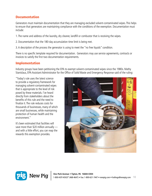### **Documentation**

Generators must maintain documentation that they are managing excluded solvent-contaminated wipes. This helps to ensure that generators are maintaining compliance with the conditions of the exemption. Documentation must include:

- 1. The name and address of the laundry, dry cleaner, landfill or combustor that is receiving the wipes.
- 2. Documentation that the 180-day accumulation time limit is being met.
- 3. A description of the process the generator is using to meet the "no free liquids" condition.

There is no specific template required for documentation. Generators may use service agreements, contracts or invoices to satisfy the first two documentation requirements.

### Implementation

Industry groups have been petitioning the EPA to exempt solvent-contaminated wipes since the 1980s. Mathy Stanislaus, EPA Assistant Administrator for the Office of Solid Waste and Emergency Response said of the ruling:

"Today's rule uses the latest science to provide a regulatory framework for managing solvent-contaminated wipes that is appropriate to the level of risk posed by these materials. I've heard directly from stakeholders about the benefits of this rule and the need to finalize it. The rule reduces costs for thousands of businesses, many of which are small businesses, while maintaining protection of human health and the environment."

It's been estimated that facilities will save more than \$20 million annually and with a little effort, you can reap the rewards this exemption provides.